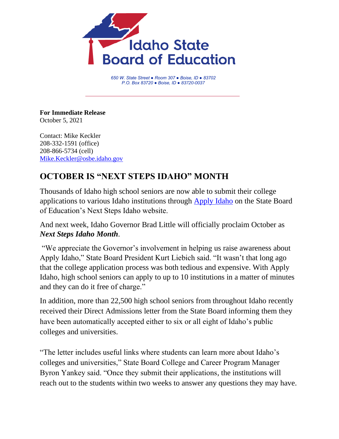

*650 W. State Street ● Room 307 ● Boise, ID ● 83702 P.O. Box 83720 ● Boise, ID ● 83720-0037*

**For Immediate Release** October 5, 2021

Contact: Mike Keckler 208-332-1591 (office) 208-866-5734 (cell) [Mike.Keckler@osbe.idaho.gov](mailto:Mike.Keckler@osbe.idaho.gov)

## **OCTOBER IS "NEXT STEPS IDAHO" MONTH**

Thousands of Idaho high school seniors are now able to submit their college applications to various Idaho institutions through [Apply Idaho](https://apply.nextsteps.idaho.gov/) on the State Board of Education's Next Steps Idaho website.

And next week, Idaho Governor Brad Little will officially proclaim October as *Next Steps Idaho Month*.

"We appreciate the Governor's involvement in helping us raise awareness about Apply Idaho," State Board President Kurt Liebich said. "It wasn't that long ago that the college application process was both tedious and expensive. With Apply Idaho, high school seniors can apply to up to 10 institutions in a matter of minutes and they can do it free of charge."

In addition, more than 22,500 high school seniors from throughout Idaho recently received their Direct Admissions letter from the State Board informing them they have been automatically accepted either to six or all eight of Idaho's public colleges and universities.

"The letter includes useful links where students can learn more about Idaho's colleges and universities," State Board College and Career Program Manager Byron Yankey said. "Once they submit their applications, the institutions will reach out to the students within two weeks to answer any questions they may have.